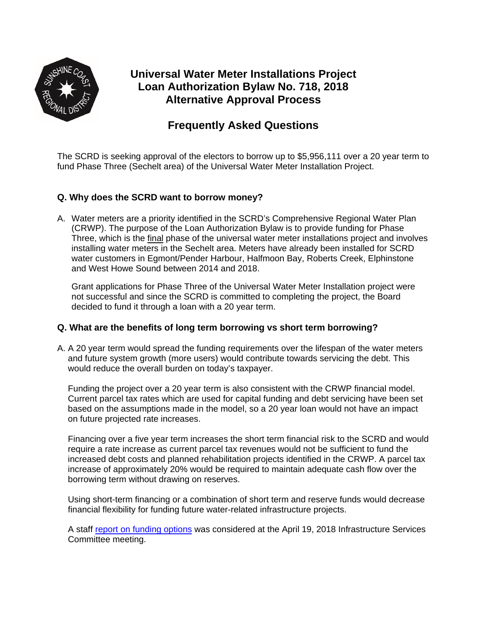

# **Universal Water Meter Installations Project Loan Authorization Bylaw No. 718, 2018 Alternative Approval Process**

# **Frequently Asked Questions**

The SCRD is seeking approval of the electors to borrow up to \$5,956,111 over a 20 year term to fund Phase Three (Sechelt area) of the Universal Water Meter Installation Project.

# **Q. Why does the SCRD want to borrow money?**

A. Water meters are a priority identified in the SCRD's Comprehensive Regional Water Plan (CRWP). The purpose of the Loan Authorization Bylaw is to provide funding for Phase Three, which is the final phase of the universal water meter installations project and involves installing water meters in the Sechelt area. Meters have already been installed for SCRD water customers in Egmont/Pender Harbour, Halfmoon Bay, Roberts Creek, Elphinstone and West Howe Sound between 2014 and 2018.

Grant applications for Phase Three of the Universal Water Meter Installation project were not successful and since the SCRD is committed to completing the project, the Board decided to fund it through a loan with a 20 year term.

## **Q. What are the benefits of long term borrowing vs short term borrowing?**

A. A 20 year term would spread the funding requirements over the lifespan of the water meters and future system growth (more users) would contribute towards servicing the debt. This would reduce the overall burden on today's taxpayer.

Funding the project over a 20 year term is also consistent with the CRWP financial model. Current parcel tax rates which are used for capital funding and debt servicing have been set based on the assumptions made in the model, so a 20 year loan would not have an impact on future projected rate increases.

Financing over a five year term increases the short term financial risk to the SCRD and would require a rate increase as current parcel tax revenues would not be sufficient to fund the increased debt costs and planned rehabilitation projects identified in the CRWP. A parcel tax increase of approximately 20% would be required to maintain adequate cash flow over the borrowing term without drawing on reserves.

Using short-term financing or a combination of short term and reserve funds would decrease financial flexibility for funding future water-related infrastructure projects.

A staff [report on funding options](http://www.scrd.ca/files/File/Administration/Elections/AAP-Water%20Meter%20Loan/2018-Apr-19-ISCReport-Phase-3-Funding.pdf) was considered at the April 19, 2018 Infrastructure Services Committee meeting.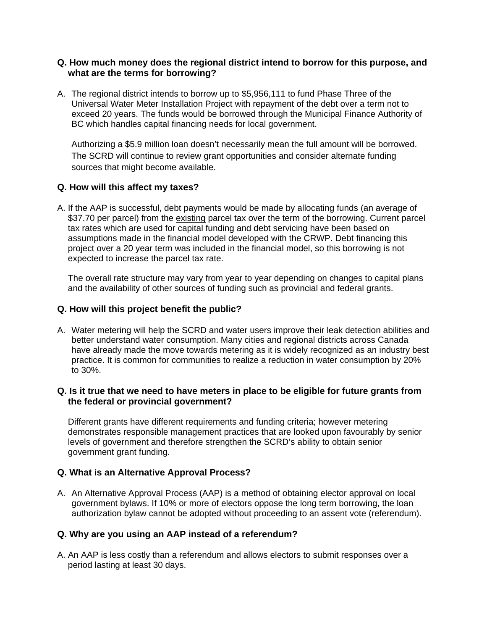## **Q. How much money does the regional district intend to borrow for this purpose, and what are the terms for borrowing?**

A. The regional district intends to borrow up to \$5,956,111 to fund Phase Three of the Universal Water Meter Installation Project with repayment of the debt over a term not to exceed 20 years. The funds would be borrowed through the Municipal Finance Authority of BC which handles capital financing needs for local government.

Authorizing a \$5.9 million loan doesn't necessarily mean the full amount will be borrowed. The SCRD will continue to review grant opportunities and consider alternate funding sources that might become available.

# **Q. How will this affect my taxes?**

A. If the AAP is successful, debt payments would be made by allocating funds (an average of \$37.70 per parcel) from the existing parcel tax over the term of the borrowing. Current parcel tax rates which are used for capital funding and debt servicing have been based on assumptions made in the financial model developed with the CRWP. Debt financing this project over a 20 year term was included in the financial model, so this borrowing is not expected to increase the parcel tax rate.

The overall rate structure may vary from year to year depending on changes to capital plans and the availability of other sources of funding such as provincial and federal grants.

## **Q. How will this project benefit the public?**

A. Water metering will help the SCRD and water users improve their leak detection abilities and better understand water consumption. Many cities and regional districts across Canada have already made the move towards metering as it is widely recognized as an industry best practice. It is common for communities to realize a reduction in water consumption by 20% to 30%.

# **Q. Is it true that we need to have meters in place to be eligible for future grants from the federal or provincial government?**

Different grants have different requirements and funding criteria; however metering demonstrates responsible management practices that are looked upon favourably by senior levels of government and therefore strengthen the SCRD's ability to obtain senior government grant funding.

# **Q. What is an Alternative Approval Process?**

A. An Alternative Approval Process (AAP) is a method of obtaining elector approval on local government bylaws. If 10% or more of electors oppose the long term borrowing, the loan authorization bylaw cannot be adopted without proceeding to an assent vote (referendum).

# **Q. Why are you using an AAP instead of a referendum?**

A. An AAP is less costly than a referendum and allows electors to submit responses over a period lasting at least 30 days.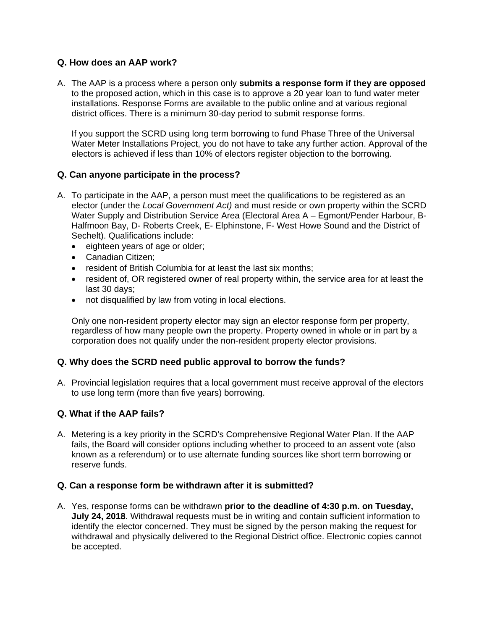# **Q. How does an AAP work?**

A. The AAP is a process where a person only **submits a response form if they are opposed** to the proposed action, which in this case is to approve a 20 year loan to fund water meter installations. Response Forms are available to the public online and at various regional district offices. There is a minimum 30-day period to submit response forms.

If you support the SCRD using long term borrowing to fund Phase Three of the Universal Water Meter Installations Project, you do not have to take any further action. Approval of the electors is achieved if less than 10% of electors register objection to the borrowing.

# **Q. Can anyone participate in the process?**

- A. To participate in the AAP, a person must meet the qualifications to be registered as an elector (under the *Local Government Act)* and must reside or own property within the SCRD Water Supply and Distribution Service Area (Electoral Area A – Egmont/Pender Harbour, B-Halfmoon Bay, D- Roberts Creek, E- Elphinstone, F- West Howe Sound and the District of Sechelt). Qualifications include:
	- eighteen years of age or older;
	- Canadian Citizen;
	- resident of British Columbia for at least the last six months;
	- resident of, OR registered owner of real property within, the service area for at least the last 30 days;
	- not disqualified by law from voting in local elections.

Only one non-resident property elector may sign an elector response form per property, regardless of how many people own the property. Property owned in whole or in part by a corporation does not qualify under the non-resident property elector provisions.

## **Q. Why does the SCRD need public approval to borrow the funds?**

A. Provincial legislation requires that a local government must receive approval of the electors to use long term (more than five years) borrowing.

## **Q. What if the AAP fails?**

A. Metering is a key priority in the SCRD's Comprehensive Regional Water Plan. If the AAP fails, the Board will consider options including whether to proceed to an assent vote (also known as a referendum) or to use alternate funding sources like short term borrowing or reserve funds.

#### **Q. Can a response form be withdrawn after it is submitted?**

A. Yes, response forms can be withdrawn **prior to the deadline of 4:30 p.m. on Tuesday, July 24, 2018**. Withdrawal requests must be in writing and contain sufficient information to identify the elector concerned. They must be signed by the person making the request for withdrawal and physically delivered to the Regional District office. Electronic copies cannot be accepted.